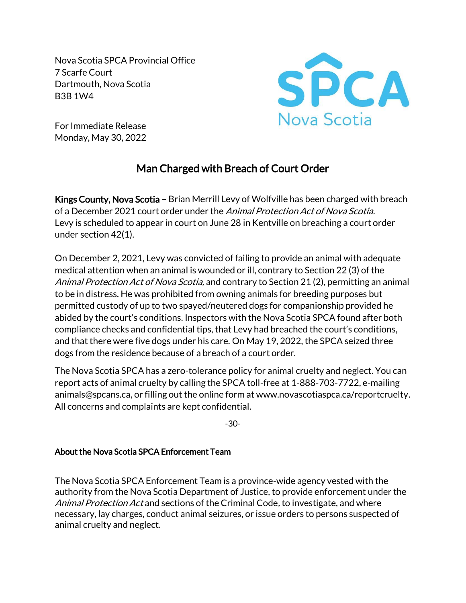Nova Scotia SPCA Provincial Office 7 Scarfe Court Dartmouth, Nova Scotia B3B 1W4



For Immediate Release Monday, May 30, 2022

# Man Charged with Breach of Court Order

Kings County, Nova Scotia – Brian Merrill Levy of Wolfville has been charged with breach of a December 2021 court order under the Animal Protection Act of Nova Scotia. Levy is scheduled to appear in court on June 28 in Kentville on breaching a court order under section 42(1).

On December 2, 2021, Levy was convicted of failing to provide an animal with adequate medical attention when an animal is wounded or ill, contrary to Section 22 (3) of the Animal Protection Act of Nova Scotia, and contrary to Section 21 (2), permitting an animal to be in distress. He was prohibited from owning animals for breeding purposes but permitted custody of up to two spayed/neutered dogs for companionship provided he abided by the court's conditions. Inspectors with the Nova Scotia SPCA found after both compliance checks and confidential tips, that Levy had breached the court's conditions, and that there were five dogs under his care. On May 19, 2022, the SPCA seized three dogs from the residence because of a breach of a court order.

The Nova Scotia SPCA has a zero-tolerance policy for animal cruelty and neglect. You can report acts of animal cruelty by calling the SPCA toll-free at 1-888-703-7722, e-mailing animals@spcans.ca, or filling out the online form at www.novascotiaspca.ca/reportcruelty. All concerns and complaints are kept confidential.

-30-

## About the Nova Scotia SPCA Enforcement Team

The Nova Scotia SPCA Enforcement Team is a province-wide agency vested with the authority from the Nova Scotia Department of Justice, to provide enforcement under the Animal Protection Act and sections of the Criminal Code, to investigate, and where necessary, lay charges, conduct animal seizures, or issue orders to persons suspected of animal cruelty and neglect.